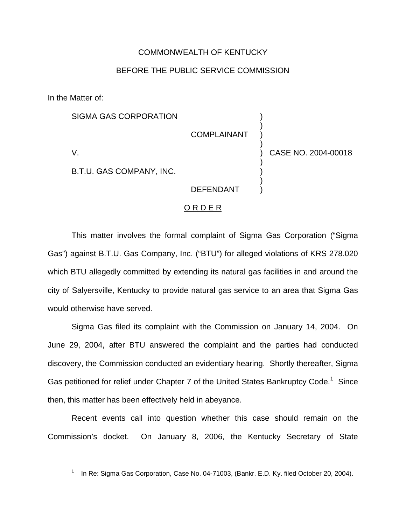## COMMONWEALTH OF KENTUCKY

## BEFORE THE PUBLIC SERVICE COMMISSION

In the Matter of:

| SIGMA GAS CORPORATION    | <b>COMPLAINANT</b> |                     |
|--------------------------|--------------------|---------------------|
| V                        |                    | CASE NO. 2004-00018 |
| B.T.U. GAS COMPANY, INC. |                    |                     |
|                          | <b>DEFENDANT</b>   |                     |

## O R D E R

This matter involves the formal complaint of Sigma Gas Corporation ("Sigma Gas") against B.T.U. Gas Company, Inc. ("BTU") for alleged violations of KRS 278.020 which BTU allegedly committed by extending its natural gas facilities in and around the city of Salyersville, Kentucky to provide natural gas service to an area that Sigma Gas would otherwise have served.

Sigma Gas filed its complaint with the Commission on January 14, 2004. On June 29, 2004, after BTU answered the complaint and the parties had conducted discovery, the Commission conducted an evidentiary hearing. Shortly thereafter, Sigma Gas petitioned for relief under Chapter 7 of the United States Bankruptcv Code.<sup>1</sup> Since then, this matter has been effectively held in abeyance.

Recent events call into question whether this case should remain on the Commission's docket. On January 8, 2006, the Kentucky Secretary of State

<sup>&</sup>lt;sup>1</sup> In Re: Sigma Gas Corporation, Case No. 04-71003, (Bankr. E.D. Ky. filed October 20, 2004).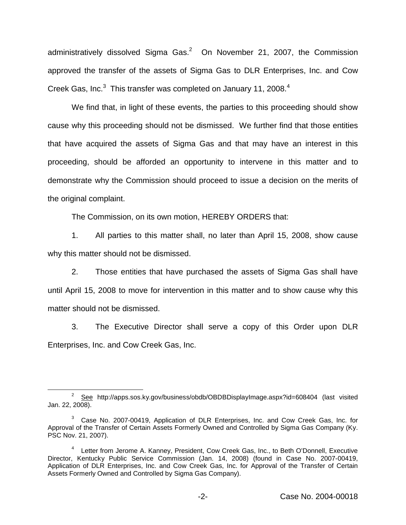administratively dissolved Sigma Gas. $2$  On November 21, 2007, the Commission approved the transfer of the assets of Sigma Gas to DLR Enterprises, Inc. and Cow Creek Gas, Inc. $3$  This transfer was completed on January 11, 2008.<sup>4</sup>

We find that, in light of these events, the parties to this proceeding should show cause why this proceeding should not be dismissed. We further find that those entities that have acquired the assets of Sigma Gas and that may have an interest in this proceeding, should be afforded an opportunity to intervene in this matter and to demonstrate why the Commission should proceed to issue a decision on the merits of the original complaint.

The Commission, on its own motion, HEREBY ORDERS that:

1. All parties to this matter shall, no later than April 15, 2008, show cause why this matter should not be dismissed.

2. Those entities that have purchased the assets of Sigma Gas shall have until April 15, 2008 to move for intervention in this matter and to show cause why this matter should not be dismissed.

3. The Executive Director shall serve a copy of this Order upon DLR Enterprises, Inc. and Cow Creek Gas, Inc.

<sup>2</sup> See http://apps.sos.ky.gov/business/obdb/OBDBDisplayImage.aspx?id=608404 (last visited Jan. 22, 2008).

<sup>&</sup>lt;sup>3</sup> Case No. 2007-00419, Application of DLR Enterprises, Inc. and Cow Creek Gas, Inc. for Approval of the Transfer of Certain Assets Formerly Owned and Controlled by Sigma Gas Company (Ky. PSC Nov. 21, 2007).

<sup>4</sup> Letter from Jerome A. Kanney, President, Cow Creek Gas, Inc., to Beth O'Donnell, Executive Director, Kentucky Public Service Commission (Jan. 14, 2008) (found in Case No. 2007-00419, Application of DLR Enterprises, Inc. and Cow Creek Gas, Inc. for Approval of the Transfer of Certain Assets Formerly Owned and Controlled by Sigma Gas Company).